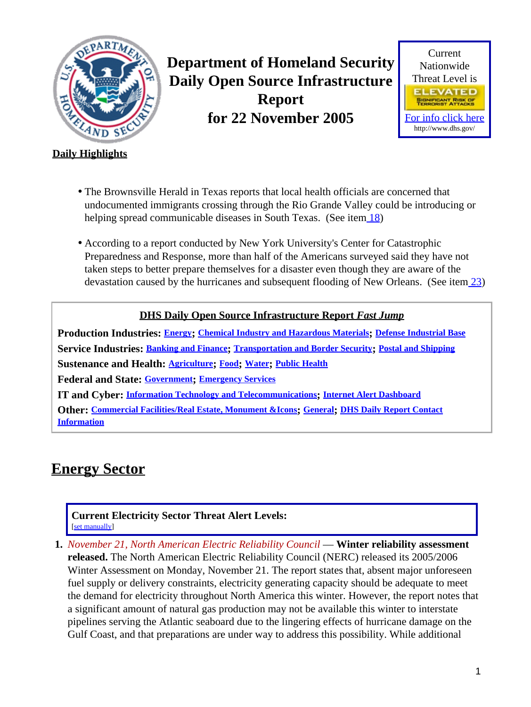<span id="page-0-1"></span>

**Department of Homeland Security Daily Open Source Infrastructure Report for 22 November 2005**



### **Daily Highlights**

- The Brownsville Herald in Texas reports that local health officials are concerned that undocumented immigrants crossing through the Rio Grande Valley could be introducing or helping spread communicable diseases in South Texas. (See item [18\)](#page-7-0)
- According to a report conducted by New York University's Center for Catastrophic Preparedness and Response, more than half of the Americans surveyed said they have not taken steps to better prepare themselves for a disaster even though they are aware of the devastation caused by the hurricanes and subsequent flooding of New Orleans. (See item [23\)](#page-9-0)

### **DHS Daily Open Source Infrastructure Report** *Fast Jump*

**Production Industries: [Energy](#page-0-0); [Chemical Industry and Hazardous Materials](#page-2-0); [Defense Industrial Base](#page-2-1) Service Industries: [Banking and Finance](#page-2-2); [Transportation and Border Security](#page-3-0); [Postal and Shipping](#page-4-0) Sustenance and Health: [Agriculture](#page-5-0); [Food](#page-6-0); [Water](#page-6-1); [Public Health](#page-6-2) Federal and State: [Government](#page-8-0); [Emergency Services](#page-8-1) IT and Cyber: [Information Technology and Telecommunications](#page-9-1); [Internet Alert Dashboard](#page-10-0)**

**Other: [Commercial Facilities/Real Estate, Monument &Icons](#page-11-0); [General](#page-12-0); [DHS Daily Report Contact](#page-12-1) [Information](#page-12-1)**

# <span id="page-0-0"></span>**Energy Sector**

#### **Current Electricity Sector Threat Alert Levels:** [set manually]

**1.** *November 21, North American Electric Reliability Council* — **Winter reliability assessment released.** The North American Electric Reliability Council (NERC) released its 2005/2006 Winter Assessment on Monday, November 21. The report states that, absent major unforeseen fuel supply or delivery constraints, electricity generating capacity should be adequate to meet the demand for electricity throughout North America this winter. However, the report notes that a significant amount of natural gas production may not be available this winter to interstate pipelines serving the Atlantic seaboard due to the lingering effects of hurricane damage on the Gulf Coast, and that preparations are under way to address this possibility. While additional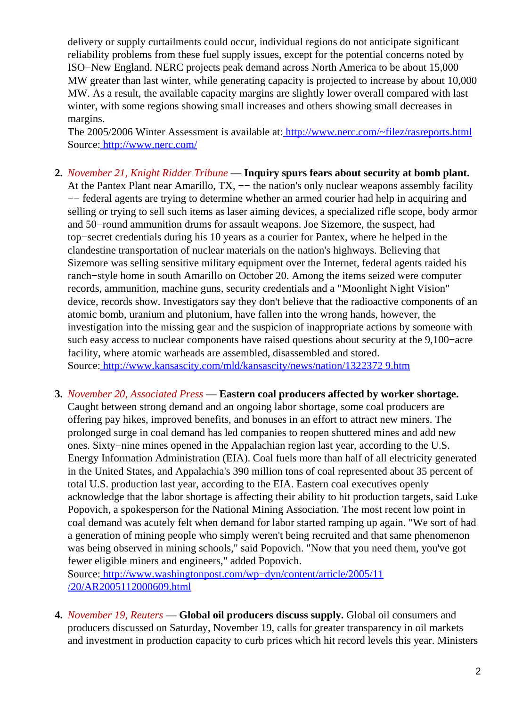delivery or supply curtailments could occur, individual regions do not anticipate significant reliability problems from these fuel supply issues, except for the potential concerns noted by ISO−New England. NERC projects peak demand across North America to be about 15,000 MW greater than last winter, while generating capacity is projected to increase by about 10,000 MW. As a result, the available capacity margins are slightly lower overall compared with last winter, with some regions showing small increases and others showing small decreases in margins.

The 2005/2006 Winter Assessment is available at[: http://www.nerc.com/~filez/rasreports.html](http://www.nerc.com/~filez/rasreports.html) Source[: http://www.nerc.com/](http://www.nerc.com/)

- **2.** *November 21, Knight Ridder Tribune* — **Inquiry spurs fears about security at bomb plant.** At the Pantex Plant near Amarillo,  $TX$ , — the nation's only nuclear weapons assembly facility −− federal agents are trying to determine whether an armed courier had help in acquiring and selling or trying to sell such items as laser aiming devices, a specialized rifle scope, body armor and 50−round ammunition drums for assault weapons. Joe Sizemore, the suspect, had top−secret credentials during his 10 years as a courier for Pantex, where he helped in the clandestine transportation of nuclear materials on the nation's highways. Believing that Sizemore was selling sensitive military equipment over the Internet, federal agents raided his ranch−style home in south Amarillo on October 20. Among the items seized were computer records, ammunition, machine guns, security credentials and a "Moonlight Night Vision" device, records show. Investigators say they don't believe that the radioactive components of an atomic bomb, uranium and plutonium, have fallen into the wrong hands, however, the investigation into the missing gear and the suspicion of inappropriate actions by someone with such easy access to nuclear components have raised questions about security at the 9,100–acre facility, where atomic warheads are assembled, disassembled and stored. Source[: http://www.kansascity.com/mld/kansascity/news/nation/1322372 9.htm](http://www.kansascity.com/mld/kansascity/news/nation/13223729.htm)
- **3.** *November 20, Associated Press* — **Eastern coal producers affected by worker shortage.** Caught between strong demand and an ongoing labor shortage, some coal producers are offering pay hikes, improved benefits, and bonuses in an effort to attract new miners. The prolonged surge in coal demand has led companies to reopen shuttered mines and add new ones. Sixty−nine mines opened in the Appalachian region last year, according to the U.S. Energy Information Administration (EIA). Coal fuels more than half of all electricity generated in the United States, and Appalachia's 390 million tons of coal represented about 35 percent of total U.S. production last year, according to the EIA. Eastern coal executives openly acknowledge that the labor shortage is affecting their ability to hit production targets, said Luke Popovich, a spokesperson for the National Mining Association. The most recent low point in coal demand was acutely felt when demand for labor started ramping up again. "We sort of had a generation of mining people who simply weren't being recruited and that same phenomenon was being observed in mining schools," said Popovich. "Now that you need them, you've got fewer eligible miners and engineers," added Popovich.

Source[: http://www.washingtonpost.com/wp−dyn/content/article/2005/11](http://www.washingtonpost.com/wp-dyn/content/article/2005/11/20/AR2005112000609.html) [/20/AR2005112000609.html](http://www.washingtonpost.com/wp-dyn/content/article/2005/11/20/AR2005112000609.html)

**4.** *November 19, Reuters* — **Global oil producers discuss supply.** Global oil consumers and producers discussed on Saturday, November 19, calls for greater transparency in oil markets and investment in production capacity to curb prices which hit record levels this year. Ministers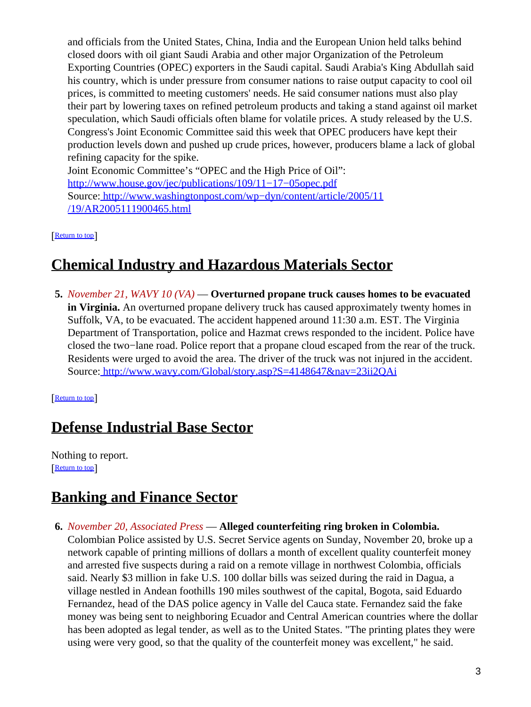and officials from the United States, China, India and the European Union held talks behind closed doors with oil giant Saudi Arabia and other major Organization of the Petroleum Exporting Countries (OPEC) exporters in the Saudi capital. Saudi Arabia's King Abdullah said his country, which is under pressure from consumer nations to raise output capacity to cool oil prices, is committed to meeting customers' needs. He said consumer nations must also play their part by lowering taxes on refined petroleum products and taking a stand against oil market speculation, which Saudi officials often blame for volatile prices. A study released by the U.S. Congress's Joint Economic Committee said this week that OPEC producers have kept their production levels down and pushed up crude prices, however, producers blame a lack of global refining capacity for the spike. Joint Economic Committee's "OPEC and the High Price of Oil": [http://www.house.gov/jec/publications/109/11−17−05opec.pdf](http://www.house.gov/jec/publications/109/11-17-05opec.pdf)

Source[: http://www.washingtonpost.com/wp−dyn/content/article/2005/11](http://www.washingtonpost.com/wp-dyn/content/article/2005/11/19/AR2005111900465.html) [/19/AR2005111900465.html](http://www.washingtonpost.com/wp-dyn/content/article/2005/11/19/AR2005111900465.html)

[[Return to top](#page-0-1)]

# <span id="page-2-0"></span>**Chemical Industry and Hazardous Materials Sector**

**5.** *November 21, WAVY 10 (VA)* — **Overturned propane truck causes homes to be evacuated in Virginia.** An overturned propane delivery truck has caused approximately twenty homes in Suffolk, VA, to be evacuated. The accident happened around 11:30 a.m. EST. The Virginia Department of Transportation, police and Hazmat crews responded to the incident. Police have closed the two−lane road. Police report that a propane cloud escaped from the rear of the truck. Residents were urged to avoid the area. The driver of the truck was not injured in the accident. Source[: http://www.wavy.com/Global/story.asp?S=4148647&nav=23ii2QAi](http://www.wavy.com/Global/story.asp?S=4148647&nav=23ii2QAi)

[[Return to top](#page-0-1)]

# <span id="page-2-1"></span>**Defense Industrial Base Sector**

Nothing to report. [[Return to top](#page-0-1)]

# <span id="page-2-2"></span>**Banking and Finance Sector**

**6.** *November 20, Associated Press* — **Alleged counterfeiting ring broken in Colombia.** Colombian Police assisted by U.S. Secret Service agents on Sunday, November 20, broke up a network capable of printing millions of dollars a month of excellent quality counterfeit money and arrested five suspects during a raid on a remote village in northwest Colombia, officials said. Nearly \$3 million in fake U.S. 100 dollar bills was seized during the raid in Dagua, a village nestled in Andean foothills 190 miles southwest of the capital, Bogota, said Eduardo Fernandez, head of the DAS police agency in Valle del Cauca state. Fernandez said the fake money was being sent to neighboring Ecuador and Central American countries where the dollar has been adopted as legal tender, as well as to the United States. "The printing plates they were using were very good, so that the quality of the counterfeit money was excellent," he said.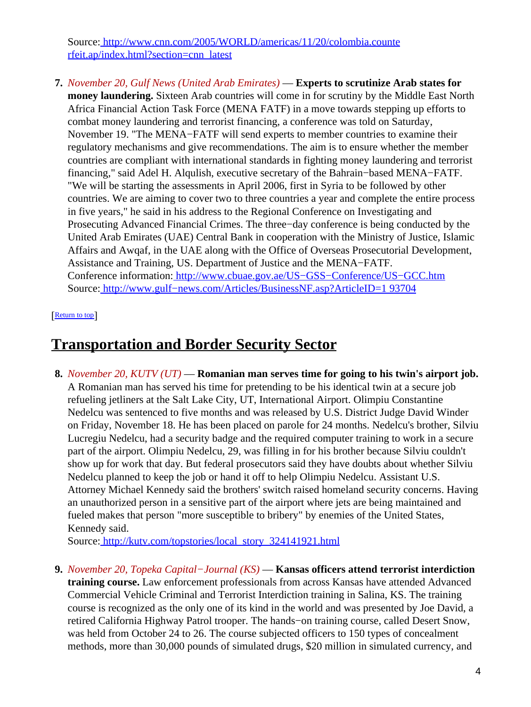Source[: http://www.cnn.com/2005/WORLD/americas/11/20/colombia.counte](http://www.cnn.com/2005/WORLD/americas/11/20/colombia.counterfeit.ap/index.html?section=cnn_latest) [rfeit.ap/index.html?section=cnn\\_latest](http://www.cnn.com/2005/WORLD/americas/11/20/colombia.counterfeit.ap/index.html?section=cnn_latest)

**7.** *November 20, Gulf News (United Arab Emirates)* — **Experts to scrutinize Arab states for money laundering.** Sixteen Arab countries will come in for scrutiny by the Middle East North Africa Financial Action Task Force (MENA FATF) in a move towards stepping up efforts to combat money laundering and terrorist financing, a conference was told on Saturday, November 19. "The MENA−FATF will send experts to member countries to examine their regulatory mechanisms and give recommendations. The aim is to ensure whether the member countries are compliant with international standards in fighting money laundering and terrorist financing," said Adel H. Alqulish, executive secretary of the Bahrain−based MENA−FATF. "We will be starting the assessments in April 2006, first in Syria to be followed by other countries. We are aiming to cover two to three countries a year and complete the entire process in five years," he said in his address to the Regional Conference on Investigating and Prosecuting Advanced Financial Crimes. The three−day conference is being conducted by the United Arab Emirates (UAE) Central Bank in cooperation with the Ministry of Justice, Islamic Affairs and Awqaf, in the UAE along with the Office of Overseas Prosecutorial Development, Assistance and Training, US. Department of Justice and the MENA−FATF. Conference information[: http://www.cbuae.gov.ae/US−GSS−Conference/US−GCC.htm](http://www.cbuae.gov.ae/US-GSS-Conference/US-GCC.htm) Source[: http://www.gulf−news.com/Articles/BusinessNF.asp?ArticleID=1 93704](http://www.gulf-news.com/Articles/BusinessNF.asp?ArticleID=193704)

#### [[Return to top](#page-0-1)]

### <span id="page-3-0"></span>**Transportation and Border Security Sector**

**8.** *November 20, KUTV (UT)* — **Romanian man serves time for going to his twin's airport job.** A Romanian man has served his time for pretending to be his identical twin at a secure job refueling jetliners at the Salt Lake City, UT, International Airport. Olimpiu Constantine Nedelcu was sentenced to five months and was released by U.S. District Judge David Winder on Friday, November 18. He has been placed on parole for 24 months. Nedelcu's brother, Silviu Lucregiu Nedelcu, had a security badge and the required computer training to work in a secure part of the airport. Olimpiu Nedelcu, 29, was filling in for his brother because Silviu couldn't show up for work that day. But federal prosecutors said they have doubts about whether Silviu Nedelcu planned to keep the job or hand it off to help Olimpiu Nedelcu. Assistant U.S. Attorney Michael Kennedy said the brothers' switch raised homeland security concerns. Having an unauthorized person in a sensitive part of the airport where jets are being maintained and fueled makes that person "more susceptible to bribery" by enemies of the United States, Kennedy said.

Source[: http://kutv.com/topstories/local\\_story\\_324141921.html](http://kutv.com/topstories/local_story_324141921.html)

**9.** *November 20, Topeka Capital−Journal (KS)* — **Kansas officers attend terrorist interdiction training course.** Law enforcement professionals from across Kansas have attended Advanced Commercial Vehicle Criminal and Terrorist Interdiction training in Salina, KS. The training course is recognized as the only one of its kind in the world and was presented by Joe David, a retired California Highway Patrol trooper. The hands−on training course, called Desert Snow, was held from October 24 to 26. The course subjected officers to 150 types of concealment methods, more than 30,000 pounds of simulated drugs, \$20 million in simulated currency, and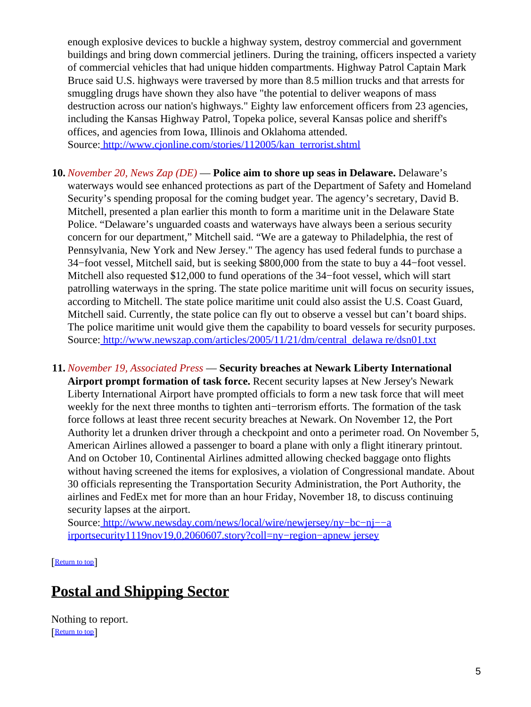enough explosive devices to buckle a highway system, destroy commercial and government buildings and bring down commercial jetliners. During the training, officers inspected a variety of commercial vehicles that had unique hidden compartments. Highway Patrol Captain Mark Bruce said U.S. highways were traversed by more than 8.5 million trucks and that arrests for smuggling drugs have shown they also have "the potential to deliver weapons of mass destruction across our nation's highways." Eighty law enforcement officers from 23 agencies, including the Kansas Highway Patrol, Topeka police, several Kansas police and sheriff's offices, and agencies from Iowa, Illinois and Oklahoma attended. Source[: http://www.cjonline.com/stories/112005/kan\\_terrorist.shtml](http://www.cjonline.com/stories/112005/kan_terrorist.shtml)

- **10.** *November 20, News Zap (DE)* — **Police aim to shore up seas in Delaware.** Delaware's waterways would see enhanced protections as part of the Department of Safety and Homeland Security's spending proposal for the coming budget year. The agency's secretary, David B. Mitchell, presented a plan earlier this month to form a maritime unit in the Delaware State Police. "Delaware's unguarded coasts and waterways have always been a serious security concern for our department," Mitchell said. "We are a gateway to Philadelphia, the rest of Pennsylvania, New York and New Jersey." The agency has used federal funds to purchase a 34−foot vessel, Mitchell said, but is seeking \$800,000 from the state to buy a 44−foot vessel. Mitchell also requested \$12,000 to fund operations of the 34−foot vessel, which will start patrolling waterways in the spring. The state police maritime unit will focus on security issues, according to Mitchell. The state police maritime unit could also assist the U.S. Coast Guard, Mitchell said. Currently, the state police can fly out to observe a vessel but can't board ships. The police maritime unit would give them the capability to board vessels for security purposes. Source[: http://www.newszap.com/articles/2005/11/21/dm/central\\_delawa re/dsn01.txt](http://www.newszap.com/articles/2005/11/21/dm/central_delaware/dsn01.txt)
- **11.** *November 19, Associated Press* — **Security breaches at Newark Liberty International Airport prompt formation of task force.** Recent security lapses at New Jersey's Newark Liberty International Airport have prompted officials to form a new task force that will meet weekly for the next three months to tighten anti−terrorism efforts. The formation of the task force follows at least three recent security breaches at Newark. On November 12, the Port Authority let a drunken driver through a checkpoint and onto a perimeter road. On November 5, American Airlines allowed a passenger to board a plane with only a flight itinerary printout. And on October 10, Continental Airlines admitted allowing checked baggage onto flights without having screened the items for explosives, a violation of Congressional mandate. About 30 officials representing the Transportation Security Administration, the Port Authority, the airlines and FedEx met for more than an hour Friday, November 18, to discuss continuing security lapses at the airport.

Source[: http://www.newsday.com/news/local/wire/newjersey/ny−bc−nj−−a](http://www.newsday.com/news/local/wire/newjersey/ny-bc-nj--airportsecurity1119nov19,0,2060607.story?coll=ny-region-apnewjersey) [irportsecurity1119nov19,0,2060607.story?coll=ny−region−apnew jersey](http://www.newsday.com/news/local/wire/newjersey/ny-bc-nj--airportsecurity1119nov19,0,2060607.story?coll=ny-region-apnewjersey)

[[Return to top](#page-0-1)]

# <span id="page-4-0"></span>**Postal and Shipping Sector**

Nothing to report. [[Return to top](#page-0-1)]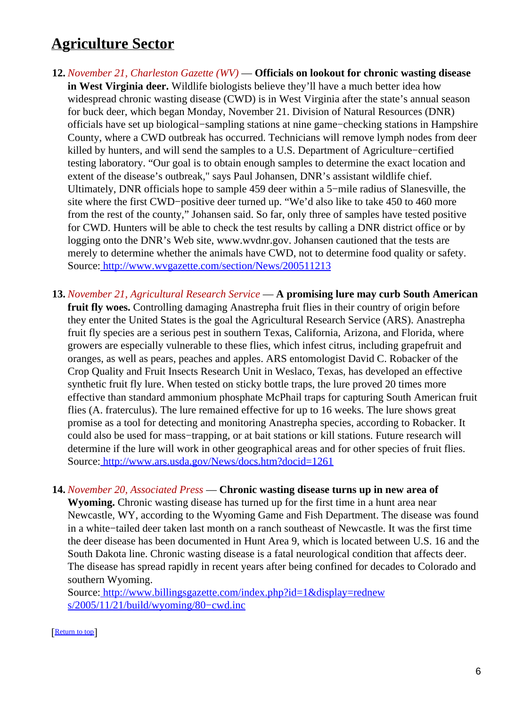### <span id="page-5-0"></span>**Agriculture Sector**

- **12.** *November 21, Charleston Gazette (WV)* — **Officials on lookout for chronic wasting disease in West Virginia deer.** Wildlife biologists believe they'll have a much better idea how widespread chronic wasting disease (CWD) is in West Virginia after the state's annual season for buck deer, which began Monday, November 21. Division of Natural Resources (DNR) officials have set up biological−sampling stations at nine game−checking stations in Hampshire County, where a CWD outbreak has occurred. Technicians will remove lymph nodes from deer killed by hunters, and will send the samples to a U.S. Department of Agriculture−certified testing laboratory. "Our goal is to obtain enough samples to determine the exact location and extent of the disease's outbreak," says Paul Johansen, DNR's assistant wildlife chief. Ultimately, DNR officials hope to sample 459 deer within a 5−mile radius of Slanesville, the site where the first CWD−positive deer turned up. "We'd also like to take 450 to 460 more from the rest of the county," Johansen said. So far, only three of samples have tested positive for CWD. Hunters will be able to check the test results by calling a DNR district office or by logging onto the DNR's Web site, www.wvdnr.gov. Johansen cautioned that the tests are merely to determine whether the animals have CWD, not to determine food quality or safety. Source[: http://www.wvgazette.com/section/News/200511213](http://www.wvgazette.com/section/News/200511213)
- **13.** *November 21, Agricultural Research Service* — **A promising lure may curb South American fruit fly woes.** Controlling damaging Anastrepha fruit flies in their country of origin before they enter the United States is the goal the Agricultural Research Service (ARS). Anastrepha fruit fly species are a serious pest in southern Texas, California, Arizona, and Florida, where growers are especially vulnerable to these flies, which infest citrus, including grapefruit and oranges, as well as pears, peaches and apples. ARS entomologist David C. Robacker of the Crop Quality and Fruit Insects Research Unit in Weslaco, Texas, has developed an effective synthetic fruit fly lure. When tested on sticky bottle traps, the lure proved 20 times more effective than standard ammonium phosphate McPhail traps for capturing South American fruit flies (A. fraterculus). The lure remained effective for up to 16 weeks. The lure shows great promise as a tool for detecting and monitoring Anastrepha species, according to Robacker. It could also be used for mass−trapping, or at bait stations or kill stations. Future research will determine if the lure will work in other geographical areas and for other species of fruit flies. Source[: http://www.ars.usda.gov/News/docs.htm?docid=1261](http://www.ars.usda.gov/News/docs.htm?docid=1261)

#### **14.** *November 20, Associated Press* — **Chronic wasting disease turns up in new area of**

**Wyoming.** Chronic wasting disease has turned up for the first time in a hunt area near Newcastle, WY, according to the Wyoming Game and Fish Department. The disease was found in a white−tailed deer taken last month on a ranch southeast of Newcastle. It was the first time the deer disease has been documented in Hunt Area 9, which is located between U.S. 16 and the South Dakota line. Chronic wasting disease is a fatal neurological condition that affects deer. The disease has spread rapidly in recent years after being confined for decades to Colorado and southern Wyoming.

Source[: http://www.billingsgazette.com/index.php?id=1&display=rednew](http://www.billingsgazette.com/index.php?id=1&display=rednews/2005/11/21/build/wyoming/80-cwd.inc) [s/2005/11/21/build/wyoming/80−cwd.inc](http://www.billingsgazette.com/index.php?id=1&display=rednews/2005/11/21/build/wyoming/80-cwd.inc)

#### [[Return to top](#page-0-1)]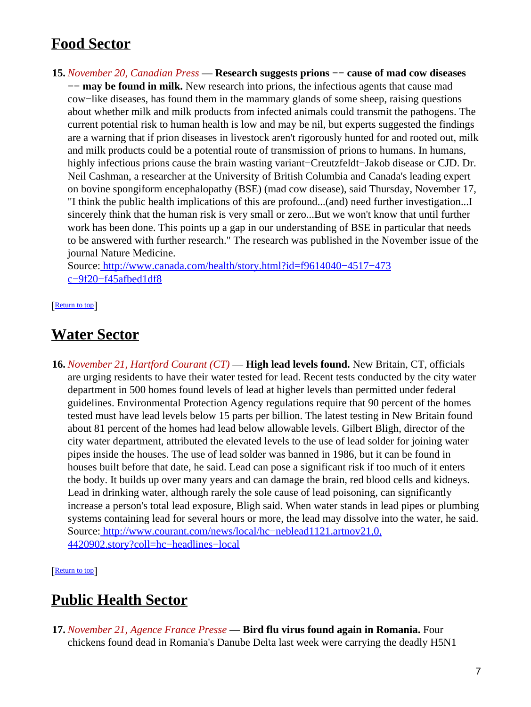# <span id="page-6-0"></span>**Food Sector**

**15.** *November 20, Canadian Press* — **Research suggests prions −− cause of mad cow diseases −− may be found in milk.** New research into prions, the infectious agents that cause mad cow−like diseases, has found them in the mammary glands of some sheep, raising questions about whether milk and milk products from infected animals could transmit the pathogens. The current potential risk to human health is low and may be nil, but experts suggested the findings are a warning that if prion diseases in livestock aren't rigorously hunted for and rooted out, milk and milk products could be a potential route of transmission of prions to humans. In humans, highly infectious prions cause the brain wasting variant−Creutzfeldt−Jakob disease or CJD. Dr. Neil Cashman, a researcher at the University of British Columbia and Canada's leading expert on bovine spongiform encephalopathy (BSE) (mad cow disease), said Thursday, November 17, "I think the public health implications of this are profound...(and) need further investigation...I sincerely think that the human risk is very small or zero...But we won't know that until further work has been done. This points up a gap in our understanding of BSE in particular that needs to be answered with further research." The research was published in the November issue of the journal Nature Medicine.

Source[: http://www.canada.com/health/story.html?id=f9614040−4517−473](http://www.canada.com/health/story.html?id=f9614040-4517-473c-9f20-f45afbed1df8) [c−9f20−f45afbed1df8](http://www.canada.com/health/story.html?id=f9614040-4517-473c-9f20-f45afbed1df8)

[[Return to top](#page-0-1)]

### <span id="page-6-1"></span>**Water Sector**

**16.** *November 21, Hartford Courant (CT)* — **High lead levels found.** New Britain, CT, officials are urging residents to have their water tested for lead. Recent tests conducted by the city water department in 500 homes found levels of lead at higher levels than permitted under federal guidelines. Environmental Protection Agency regulations require that 90 percent of the homes tested must have lead levels below 15 parts per billion. The latest testing in New Britain found about 81 percent of the homes had lead below allowable levels. Gilbert Bligh, director of the city water department, attributed the elevated levels to the use of lead solder for joining water pipes inside the houses. The use of lead solder was banned in 1986, but it can be found in houses built before that date, he said. Lead can pose a significant risk if too much of it enters the body. It builds up over many years and can damage the brain, red blood cells and kidneys. Lead in drinking water, although rarely the sole cause of lead poisoning, can significantly increase a person's total lead exposure, Bligh said. When water stands in lead pipes or plumbing systems containing lead for several hours or more, the lead may dissolve into the water, he said. Source[: http://www.courant.com/news/local/hc−neblead1121.artnov21,0,](http://www.courant.com/news/local/hc-neblead1121.artnov21,0,4420902.story?coll=hc-headlines-local) [4420902.story?coll=hc−headlines−local](http://www.courant.com/news/local/hc-neblead1121.artnov21,0,4420902.story?coll=hc-headlines-local)

[[Return to top](#page-0-1)]

# <span id="page-6-2"></span>**Public Health Sector**

**17.** *November 21, Agence France Presse* — **Bird flu virus found again in Romania.** Four chickens found dead in Romania's Danube Delta last week were carrying the deadly H5N1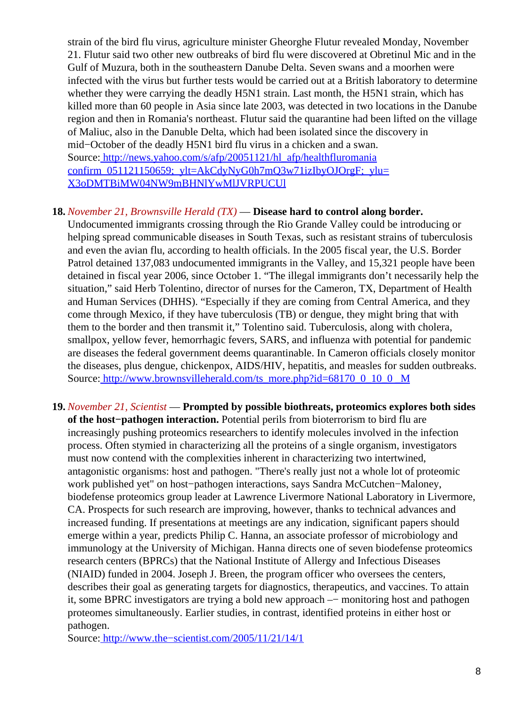strain of the bird flu virus, agriculture minister Gheorghe Flutur revealed Monday, November 21. Flutur said two other new outbreaks of bird flu were discovered at Obretinul Mic and in the Gulf of Muzura, both in the southeastern Danube Delta. Seven swans and a moorhen were infected with the virus but further tests would be carried out at a British laboratory to determine whether they were carrying the deadly H5N1 strain. Last month, the H5N1 strain, which has killed more than 60 people in Asia since late 2003, was detected in two locations in the Danube region and then in Romania's northeast. Flutur said the quarantine had been lifted on the village of Maliuc, also in the Danuble Delta, which had been isolated since the discovery in mid−October of the deadly H5N1 bird flu virus in a chicken and a swan. Source[: http://news.yahoo.com/s/afp/20051121/hl\\_afp/healthfluromania](http://news.yahoo.com/s/afp/20051121/hl_afp/healthfluromaniaconfirm_051121150659;_ylt=AkCdyNyG0h7mQ3w71izIbyOJOrgF;_ylu=X3oDMTBiMW04NW9mBHNlYwMlJVRPUCUl) confirm  $051121150659$ ;  $vl=AkCdvNvG0h7mO3w71izIbvOJOrgF$ ;  $vlu=$ [X3oDMTBiMW04NW9mBHNlYwMlJVRPUCUl](http://news.yahoo.com/s/afp/20051121/hl_afp/healthfluromaniaconfirm_051121150659;_ylt=AkCdyNyG0h7mQ3w71izIbyOJOrgF;_ylu=X3oDMTBiMW04NW9mBHNlYwMlJVRPUCUl)

### <span id="page-7-0"></span>**18.** *November 21, Brownsville Herald (TX)* — **Disease hard to control along border.**

Undocumented immigrants crossing through the Rio Grande Valley could be introducing or helping spread communicable diseases in South Texas, such as resistant strains of tuberculosis and even the avian flu, according to health officials. In the 2005 fiscal year, the U.S. Border Patrol detained 137,083 undocumented immigrants in the Valley, and 15,321 people have been detained in fiscal year 2006, since October 1. "The illegal immigrants don't necessarily help the situation," said Herb Tolentino, director of nurses for the Cameron, TX, Department of Health and Human Services (DHHS). "Especially if they are coming from Central America, and they come through Mexico, if they have tuberculosis (TB) or dengue, they might bring that with them to the border and then transmit it," Tolentino said. Tuberculosis, along with cholera, smallpox, yellow fever, hemorrhagic fevers, SARS, and influenza with potential for pandemic are diseases the federal government deems quarantinable. In Cameron officials closely monitor the diseases, plus dengue, chickenpox, AIDS/HIV, hepatitis, and measles for sudden outbreaks. Source[: http://www.brownsvilleherald.com/ts\\_more.php?id=68170\\_0\\_10\\_0 \\_M](http://www.brownsvilleherald.com/ts_more.php?id=68170_0_10_0_M)

**19.** *November 21, Scientist* — **Prompted by possible biothreats, proteomics explores both sides of the host−pathogen interaction.** Potential perils from bioterrorism to bird flu are increasingly pushing proteomics researchers to identify molecules involved in the infection process. Often stymied in characterizing all the proteins of a single organism, investigators must now contend with the complexities inherent in characterizing two intertwined, antagonistic organisms: host and pathogen. "There's really just not a whole lot of proteomic work published yet" on host−pathogen interactions, says Sandra McCutchen−Maloney, biodefense proteomics group leader at Lawrence Livermore National Laboratory in Livermore, CA. Prospects for such research are improving, however, thanks to technical advances and increased funding. If presentations at meetings are any indication, significant papers should emerge within a year, predicts Philip C. Hanna, an associate professor of microbiology and immunology at the University of Michigan. Hanna directs one of seven biodefense proteomics research centers (BPRCs) that the National Institute of Allergy and Infectious Diseases (NIAID) funded in 2004. Joseph J. Breen, the program officer who oversees the centers, describes their goal as generating targets for diagnostics, therapeutics, and vaccines. To attain it, some BPRC investigators are trying a bold new approach –− monitoring host and pathogen proteomes simultaneously. Earlier studies, in contrast, identified proteins in either host or pathogen.

Source[: http://www.the−scientist.com/2005/11/21/14/1](http://www.the-scientist.com/2005/11/21/14/1)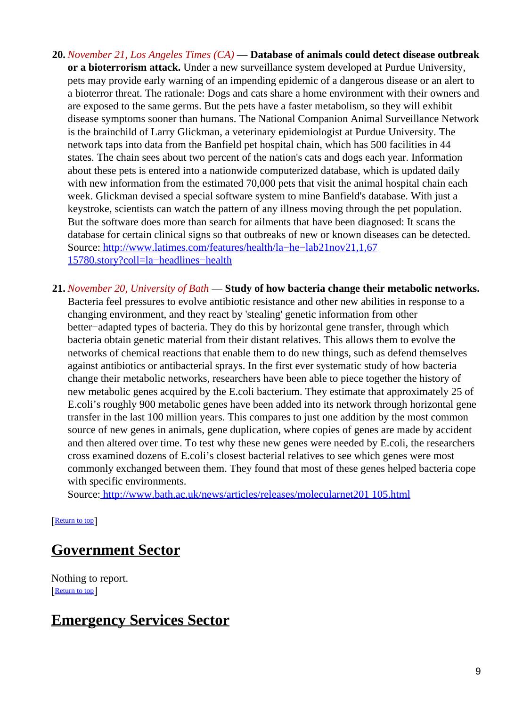- **20.** *November 21, Los Angeles Times (CA)* — **Database of animals could detect disease outbreak or a bioterrorism attack.** Under a new surveillance system developed at Purdue University, pets may provide early warning of an impending epidemic of a dangerous disease or an alert to a bioterror threat. The rationale: Dogs and cats share a home environment with their owners and are exposed to the same germs. But the pets have a faster metabolism, so they will exhibit disease symptoms sooner than humans. The National Companion Animal Surveillance Network is the brainchild of Larry Glickman, a veterinary epidemiologist at Purdue University. The network taps into data from the Banfield pet hospital chain, which has 500 facilities in 44 states. The chain sees about two percent of the nation's cats and dogs each year. Information about these pets is entered into a nationwide computerized database, which is updated daily with new information from the estimated 70,000 pets that visit the animal hospital chain each week. Glickman devised a special software system to mine Banfield's database. With just a keystroke, scientists can watch the pattern of any illness moving through the pet population. But the software does more than search for ailments that have been diagnosed: It scans the database for certain clinical signs so that outbreaks of new or known diseases can be detected. Source[: http://www.latimes.com/features/health/la−he−lab21nov21,1,67](http://www.latimes.com/features/health/la-he-lab21nov21,1,6715780.story?coll=la-headlines-health) [15780.story?coll=la−headlines−health](http://www.latimes.com/features/health/la-he-lab21nov21,1,6715780.story?coll=la-headlines-health)
- **21.** *November 20, University of Bath* — **Study of how bacteria change their metabolic networks.** Bacteria feel pressures to evolve antibiotic resistance and other new abilities in response to a changing environment, and they react by 'stealing' genetic information from other better−adapted types of bacteria. They do this by horizontal gene transfer, through which bacteria obtain genetic material from their distant relatives. This allows them to evolve the networks of chemical reactions that enable them to do new things, such as defend themselves against antibiotics or antibacterial sprays. In the first ever systematic study of how bacteria change their metabolic networks, researchers have been able to piece together the history of new metabolic genes acquired by the E.coli bacterium. They estimate that approximately 25 of E.coli's roughly 900 metabolic genes have been added into its network through horizontal gene transfer in the last 100 million years. This compares to just one addition by the most common source of new genes in animals, gene duplication, where copies of genes are made by accident and then altered over time. To test why these new genes were needed by E.coli, the researchers cross examined dozens of E.coli's closest bacterial relatives to see which genes were most commonly exchanged between them. They found that most of these genes helped bacteria cope with specific environments.

Source[: http://www.bath.ac.uk/news/articles/releases/molecularnet201 105.html](http://www.bath.ac.uk/news/articles/releases/molecularnet201105.html)

[[Return to top](#page-0-1)]

### <span id="page-8-0"></span>**Government Sector**

Nothing to report. [[Return to top](#page-0-1)]

### <span id="page-8-1"></span>**Emergency Services Sector**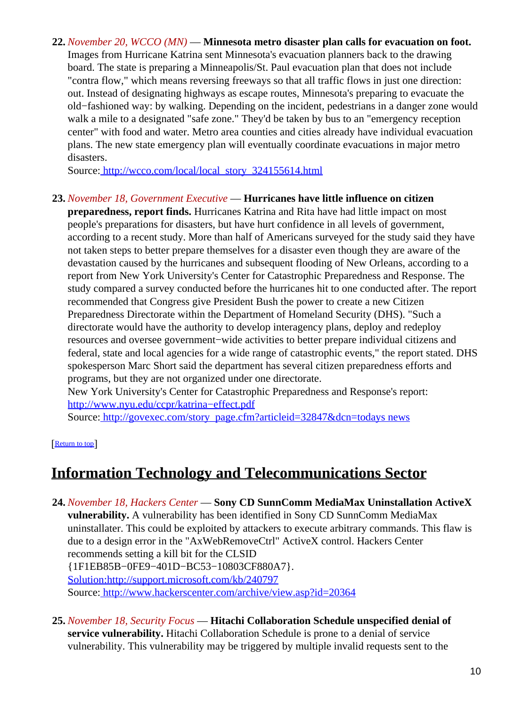**22.** *November 20, WCCO (MN)* — **Minnesota metro disaster plan calls for evacuation on foot.** Images from Hurricane Katrina sent Minnesota's evacuation planners back to the drawing board. The state is preparing a Minneapolis/St. Paul evacuation plan that does not include "contra flow," which means reversing freeways so that all traffic flows in just one direction: out. Instead of designating highways as escape routes, Minnesota's preparing to evacuate the old−fashioned way: by walking. Depending on the incident, pedestrians in a danger zone would walk a mile to a designated "safe zone." They'd be taken by bus to an "emergency reception center" with food and water. Metro area counties and cities already have individual evacuation plans. The new state emergency plan will eventually coordinate evacuations in major metro disasters.

Source[: http://wcco.com/local/local\\_story\\_324155614.html](http://wcco.com/local/local_story_324155614.html)

### <span id="page-9-0"></span>**23.** *November 18, Government Executive* — **Hurricanes have little influence on citizen**

**preparedness, report finds.** Hurricanes Katrina and Rita have had little impact on most people's preparations for disasters, but have hurt confidence in all levels of government, according to a recent study. More than half of Americans surveyed for the study said they have not taken steps to better prepare themselves for a disaster even though they are aware of the devastation caused by the hurricanes and subsequent flooding of New Orleans, according to a report from New York University's Center for Catastrophic Preparedness and Response. The study compared a survey conducted before the hurricanes hit to one conducted after. The report recommended that Congress give President Bush the power to create a new Citizen Preparedness Directorate within the Department of Homeland Security (DHS). "Such a directorate would have the authority to develop interagency plans, deploy and redeploy resources and oversee government−wide activities to better prepare individual citizens and federal, state and local agencies for a wide range of catastrophic events," the report stated. DHS spokesperson Marc Short said the department has several citizen preparedness efforts and programs, but they are not organized under one directorate.

New York University's Center for Catastrophic Preparedness and Response's report: [http://www.nyu.edu/ccpr/katrina−effect.pdf](http://www.nyu.edu/ccpr/katrina-effect.pdf)

Source[: http://govexec.com/story\\_page.cfm?articleid=32847&dcn=todays news](http://govexec.com/story_page.cfm?articleid=32847&dcn=todaysnews)

[[Return to top](#page-0-1)]

### <span id="page-9-1"></span>**Information Technology and Telecommunications Sector**

- **24.** *November 18, Hackers Center* — **Sony CD SunnComm MediaMax Uninstallation ActiveX vulnerability.** A vulnerability has been identified in Sony CD SunnComm MediaMax uninstallater. This could be exploited by attackers to execute arbitrary commands. This flaw is due to a design error in the "AxWebRemoveCtrl" ActiveX control. Hackers Center recommends setting a kill bit for the CLSID {1F1EB85B−0FE9−401D−BC53−10803CF880A7}. Solution:http://support.microsoft.com/kb/240797 Source[: http://www.hackerscenter.com/archive/view.asp?id=20364](http://www.hackerscenter.com/archive/view.asp?id=20364)
- **25.** *November 18, Security Focus* — **Hitachi Collaboration Schedule unspecified denial of service vulnerability.** Hitachi Collaboration Schedule is prone to a denial of service vulnerability. This vulnerability may be triggered by multiple invalid requests sent to the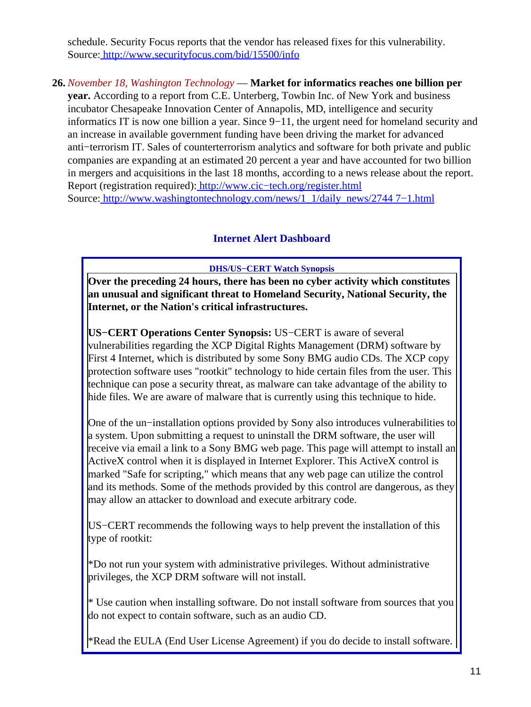schedule. Security Focus reports that the vendor has released fixes for this vulnerability. Source[: http://www.securityfocus.com/bid/15500/info](http://www.securityfocus.com/bid/15500/info)

### **26.** *November 18, Washington Technology* — **Market for informatics reaches one billion per**

**year.** According to a report from C.E. Unterberg, Towbin Inc. of New York and business incubator Chesapeake Innovation Center of Annapolis, MD, intelligence and security informatics IT is now one billion a year. Since 9−11, the urgent need for homeland security and an increase in available government funding have been driving the market for advanced anti−terrorism IT. Sales of counterterrorism analytics and software for both private and public companies are expanding at an estimated 20 percent a year and have accounted for two billion in mergers and acquisitions in the last 18 months, according to a news release about the report. Report (registration required)[: http://www.cic−tech.org/register.html](http://www.cic-tech.org/register.html) Source[: http://www.washingtontechnology.com/news/1\\_1/daily\\_news/2744 7−1.html](http://www.washingtontechnology.com/news/1_1/daily_news/27447-1.html)

### **Internet Alert Dashboard**

#### **DHS/US−CERT Watch Synopsis**

<span id="page-10-0"></span>**Over the preceding 24 hours, there has been no cyber activity which constitutes an unusual and significant threat to Homeland Security, National Security, the Internet, or the Nation's critical infrastructures.**

**US−CERT Operations Center Synopsis:** US−CERT is aware of several vulnerabilities regarding the XCP Digital Rights Management (DRM) software by First 4 Internet, which is distributed by some Sony BMG audio CDs. The XCP copy protection software uses "rootkit" technology to hide certain files from the user. This technique can pose a security threat, as malware can take advantage of the ability to hide files. We are aware of malware that is currently using this technique to hide.

One of the un−installation options provided by Sony also introduces vulnerabilities to a system. Upon submitting a request to uninstall the DRM software, the user will receive via email a link to a Sony BMG web page. This page will attempt to install an ActiveX control when it is displayed in Internet Explorer. This ActiveX control is marked "Safe for scripting," which means that any web page can utilize the control and its methods. Some of the methods provided by this control are dangerous, as they may allow an attacker to download and execute arbitrary code.

US−CERT recommends the following ways to help prevent the installation of this type of rootkit:

\*Do not run your system with administrative privileges. Without administrative privileges, the XCP DRM software will not install.

\* Use caution when installing software. Do not install software from sources that you do not expect to contain software, such as an audio CD.

\*Read the EULA (End User License Agreement) if you do decide to install software.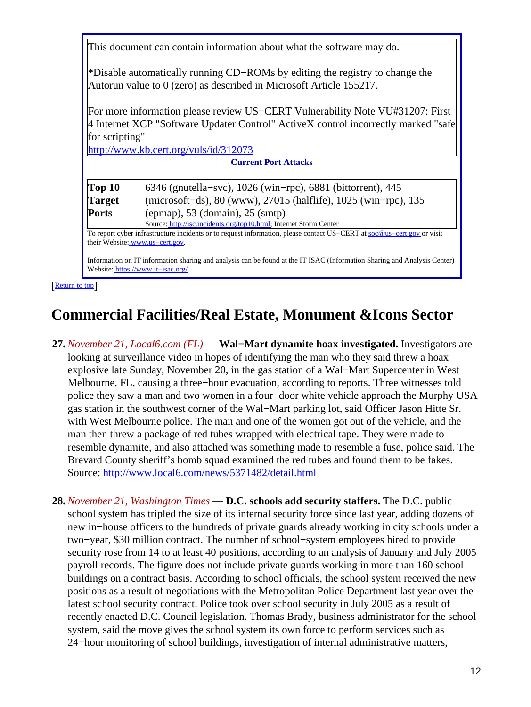This document can contain information about what the software may do.

\*Disable automatically running CD−ROMs by editing the registry to change the Autorun value to 0 (zero) as described in Microsoft Article 155217.

For more information please review US−CERT Vulnerability Note VU#31207: First 4 Internet XCP "Software Updater Control" ActiveX control incorrectly marked "safe for scripting"

<http://www.kb.cert.org/vuls/id/312073>

| <b>Current Port Attacks</b> |                                                                    |  |
|-----------------------------|--------------------------------------------------------------------|--|
| Top 10                      | 6346 (gnutella-svc), 1026 (win-rpc), 6881 (bittorrent), 445        |  |
| <b>Target</b>               | (microsoft-ds), 80 (www), 27015 (halflife), 1025 (win-rpc), 135    |  |
| Ports                       | $(epmap)$ , 53 (domain), 25 (smtp)                                 |  |
|                             | Source: http://isc.incidents.org/top10.html; Internet Storm Center |  |

To report cyber infrastructure incidents or to request information, please contact US−CERT at [soc@us−cert.gov](mailto:soc@us-cert.gov) or visit their Website: [www.us−cert.gov.](http://www.us-cert.gov/)

Information on IT information sharing and analysis can be found at the IT ISAC (Information Sharing and Analysis Center) Website: [https://www.it−isac.org/.](https://www.it-isac.org/)

[[Return to top](#page-0-1)]

# <span id="page-11-0"></span>**Commercial Facilities/Real Estate, Monument &Icons Sector**

- **27.** *November 21, Local6.com (FL)* — **Wal−Mart dynamite hoax investigated.** Investigators are looking at surveillance video in hopes of identifying the man who they said threw a hoax explosive late Sunday, November 20, in the gas station of a Wal−Mart Supercenter in West Melbourne, FL, causing a three−hour evacuation, according to reports. Three witnesses told police they saw a man and two women in a four−door white vehicle approach the Murphy USA gas station in the southwest corner of the Wal−Mart parking lot, said Officer Jason Hitte Sr. with West Melbourne police. The man and one of the women got out of the vehicle, and the man then threw a package of red tubes wrapped with electrical tape. They were made to resemble dynamite, and also attached was something made to resemble a fuse, police said. The Brevard County sheriff's bomb squad examined the red tubes and found them to be fakes. Source[: http://www.local6.com/news/5371482/detail.html](http://www.local6.com/news/5371482/detail.html)
- **28.** *November 21, Washington Times* — **D.C. schools add security staffers.** The D.C. public school system has tripled the size of its internal security force since last year, adding dozens of new in−house officers to the hundreds of private guards already working in city schools under a two−year, \$30 million contract. The number of school−system employees hired to provide security rose from 14 to at least 40 positions, according to an analysis of January and July 2005 payroll records. The figure does not include private guards working in more than 160 school buildings on a contract basis. According to school officials, the school system received the new positions as a result of negotiations with the Metropolitan Police Department last year over the latest school security contract. Police took over school security in July 2005 as a result of recently enacted D.C. Council legislation. Thomas Brady, business administrator for the school system, said the move gives the school system its own force to perform services such as 24−hour monitoring of school buildings, investigation of internal administrative matters,